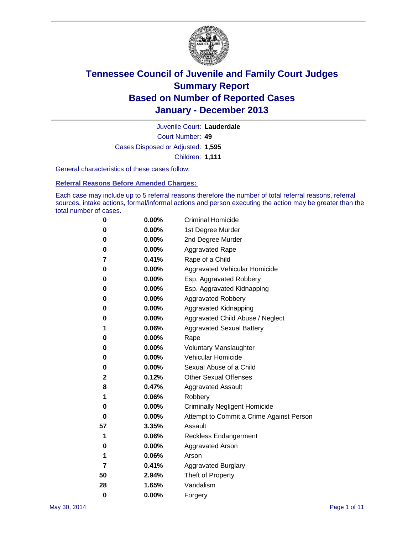

Court Number: **49** Juvenile Court: **Lauderdale** Cases Disposed or Adjusted: **1,595** Children: **1,111**

General characteristics of these cases follow:

**Referral Reasons Before Amended Charges:** 

Each case may include up to 5 referral reasons therefore the number of total referral reasons, referral sources, intake actions, formal/informal actions and person executing the action may be greater than the total number of cases.

| 0        | 0.00%    | <b>Criminal Homicide</b>                 |
|----------|----------|------------------------------------------|
| 0        | 0.00%    | 1st Degree Murder                        |
| 0        | 0.00%    | 2nd Degree Murder                        |
| 0        | $0.00\%$ | <b>Aggravated Rape</b>                   |
| 7        | 0.41%    | Rape of a Child                          |
| 0        | 0.00%    | <b>Aggravated Vehicular Homicide</b>     |
| 0        | $0.00\%$ | Esp. Aggravated Robbery                  |
| 0        | 0.00%    | Esp. Aggravated Kidnapping               |
| 0        | 0.00%    | <b>Aggravated Robbery</b>                |
| 0        | 0.00%    | Aggravated Kidnapping                    |
| 0        | 0.00%    | Aggravated Child Abuse / Neglect         |
| 1        | 0.06%    | <b>Aggravated Sexual Battery</b>         |
| 0        | 0.00%    | Rape                                     |
| 0        | 0.00%    | <b>Voluntary Manslaughter</b>            |
| 0        | 0.00%    | Vehicular Homicide                       |
| 0        | $0.00\%$ | Sexual Abuse of a Child                  |
| 2        | 0.12%    | <b>Other Sexual Offenses</b>             |
| 8        | 0.47%    | <b>Aggravated Assault</b>                |
| 1        | 0.06%    | Robbery                                  |
| 0        | 0.00%    | <b>Criminally Negligent Homicide</b>     |
| 0        | 0.00%    | Attempt to Commit a Crime Against Person |
| 57       | 3.35%    | Assault                                  |
| 1        | 0.06%    | <b>Reckless Endangerment</b>             |
| 0        | 0.00%    | <b>Aggravated Arson</b>                  |
| 1        | 0.06%    | Arson                                    |
| 7        | 0.41%    | <b>Aggravated Burglary</b>               |
| 50       | 2.94%    | Theft of Property                        |
| 28       | 1.65%    | Vandalism                                |
| $\bf{0}$ | 0.00%    | Forgery                                  |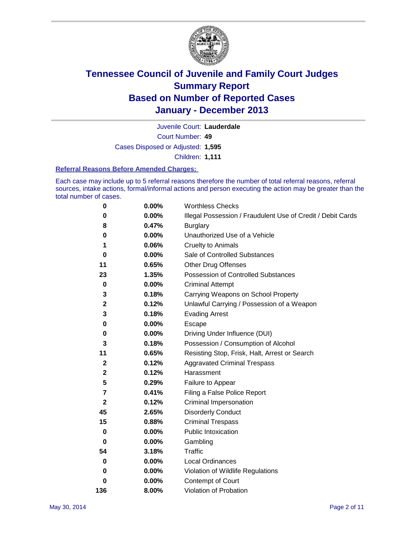

Court Number: **49** Juvenile Court: **Lauderdale** Cases Disposed or Adjusted: **1,595** Children: **1,111**

#### **Referral Reasons Before Amended Charges:**

Each case may include up to 5 referral reasons therefore the number of total referral reasons, referral sources, intake actions, formal/informal actions and person executing the action may be greater than the total number of cases.

| 0                       | 0.00%    | <b>Worthless Checks</b>                                     |
|-------------------------|----------|-------------------------------------------------------------|
| 0                       | 0.00%    | Illegal Possession / Fraudulent Use of Credit / Debit Cards |
| 8                       | 0.47%    | <b>Burglary</b>                                             |
| 0                       | 0.00%    | Unauthorized Use of a Vehicle                               |
| 1                       | 0.06%    | <b>Cruelty to Animals</b>                                   |
| $\bf{0}$                | 0.00%    | Sale of Controlled Substances                               |
| 11                      | 0.65%    | <b>Other Drug Offenses</b>                                  |
| 23                      | 1.35%    | Possession of Controlled Substances                         |
| $\pmb{0}$               | 0.00%    | <b>Criminal Attempt</b>                                     |
| 3                       | 0.18%    | Carrying Weapons on School Property                         |
| $\mathbf 2$             | 0.12%    | Unlawful Carrying / Possession of a Weapon                  |
| 3                       | 0.18%    | <b>Evading Arrest</b>                                       |
| 0                       | 0.00%    | Escape                                                      |
| 0                       | 0.00%    | Driving Under Influence (DUI)                               |
| 3                       | 0.18%    | Possession / Consumption of Alcohol                         |
| 11                      | 0.65%    | Resisting Stop, Frisk, Halt, Arrest or Search               |
| $\mathbf{2}$            | 0.12%    | <b>Aggravated Criminal Trespass</b>                         |
| $\mathbf 2$             | 0.12%    | Harassment                                                  |
| 5                       | 0.29%    | Failure to Appear                                           |
| $\overline{\mathbf{r}}$ | 0.41%    | Filing a False Police Report                                |
| $\mathbf{2}$            | 0.12%    | Criminal Impersonation                                      |
| 45                      | 2.65%    | <b>Disorderly Conduct</b>                                   |
| 15                      | 0.88%    | <b>Criminal Trespass</b>                                    |
| 0                       | 0.00%    | <b>Public Intoxication</b>                                  |
| 0                       | 0.00%    | Gambling                                                    |
| 54                      | 3.18%    | <b>Traffic</b>                                              |
| 0                       | $0.00\%$ | <b>Local Ordinances</b>                                     |
| 0                       | $0.00\%$ | Violation of Wildlife Regulations                           |
| 0                       | $0.00\%$ | Contempt of Court                                           |
| 136                     | 8.00%    | Violation of Probation                                      |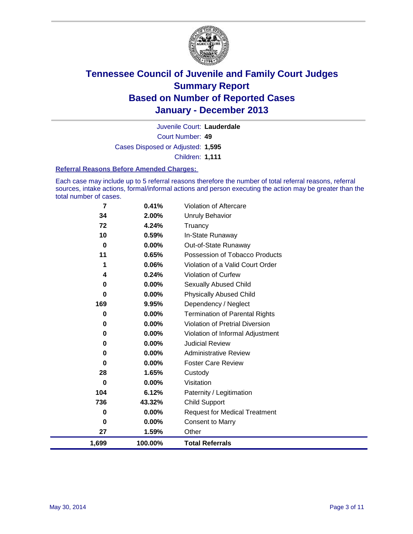

Court Number: **49** Juvenile Court: **Lauderdale** Cases Disposed or Adjusted: **1,595** Children: **1,111**

#### **Referral Reasons Before Amended Charges:**

Each case may include up to 5 referral reasons therefore the number of total referral reasons, referral sources, intake actions, formal/informal actions and person executing the action may be greater than the total number of cases.

| 1,699          | 100.00%                                            | <b>Total Referrals</b>                                                          |
|----------------|----------------------------------------------------|---------------------------------------------------------------------------------|
| 27             | 1.59%                                              | Other                                                                           |
| 0              | 0.00%                                              | <b>Consent to Marry</b>                                                         |
| 0              | 0.00%                                              | <b>Request for Medical Treatment</b>                                            |
| 736            | 43.32%                                             | <b>Child Support</b>                                                            |
| 104            | 6.12%                                              | Paternity / Legitimation                                                        |
| $\bf{0}$       | $0.00\%$                                           | Visitation                                                                      |
| 28             | 1.65%                                              | Custody                                                                         |
| 0              | 0.00%                                              | <b>Foster Care Review</b>                                                       |
| 0              | $0.00\%$                                           | <b>Administrative Review</b>                                                    |
| 0              | $0.00\%$                                           | <b>Judicial Review</b>                                                          |
| 0              | 0.00%                                              | Violation of Informal Adjustment                                                |
| 0              | $0.00\%$                                           | <b>Violation of Pretrial Diversion</b>                                          |
| 0              | $0.00\%$                                           | <b>Termination of Parental Rights</b>                                           |
| 169            | 9.95%                                              | Dependency / Neglect                                                            |
| 0              | 0.00%                                              | <b>Physically Abused Child</b>                                                  |
| 0              | $0.00\%$                                           | Sexually Abused Child                                                           |
| 4              | 0.24%                                              | <b>Violation of Curfew</b>                                                      |
|                | 0.06%                                              | Violation of a Valid Court Order                                                |
| 11             | 0.65%                                              | Possession of Tobacco Products                                                  |
| 0              | $0.00\%$                                           | Out-of-State Runaway                                                            |
|                |                                                    |                                                                                 |
|                |                                                    |                                                                                 |
|                |                                                    |                                                                                 |
| 34<br>72<br>10 | 0.41%<br>$\overline{7}$<br>2.00%<br>4.24%<br>0.59% | Violation of Aftercare<br><b>Unruly Behavior</b><br>Truancy<br>In-State Runaway |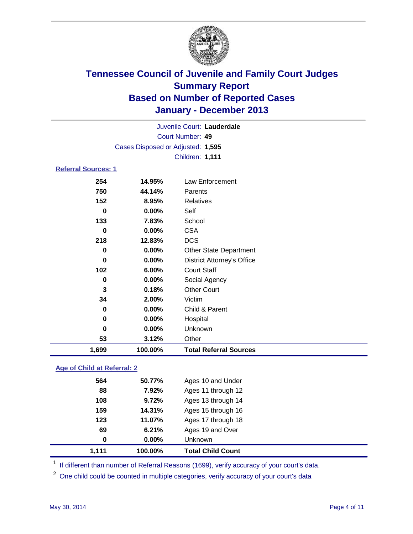

|                  | Juvenile Court: Lauderdale        |                                   |  |  |  |
|------------------|-----------------------------------|-----------------------------------|--|--|--|
| Court Number: 49 |                                   |                                   |  |  |  |
|                  | Cases Disposed or Adjusted: 1,595 |                                   |  |  |  |
|                  |                                   | Children: 1,111                   |  |  |  |
|                  | <b>Referral Sources: 1</b>        |                                   |  |  |  |
| 254              | 14.95%                            | Law Enforcement                   |  |  |  |
| 750              | 44.14%                            | Parents                           |  |  |  |
| 152              | 8.95%                             | Relatives                         |  |  |  |
| $\bf{0}$         | 0.00%                             | Self                              |  |  |  |
| 133              | 7.83%                             | School                            |  |  |  |
| $\bf{0}$         | 0.00%                             | <b>CSA</b>                        |  |  |  |
| 218              | 12.83%                            | <b>DCS</b>                        |  |  |  |
| 0                | 0.00%                             | <b>Other State Department</b>     |  |  |  |
| $\bf{0}$         | 0.00%                             | <b>District Attorney's Office</b> |  |  |  |
| 102              | 6.00%                             | <b>Court Staff</b>                |  |  |  |
| 0                | 0.00%                             | Social Agency                     |  |  |  |
| 3                | 0.18%                             | <b>Other Court</b>                |  |  |  |
| 34               | 2.00%                             | Victim                            |  |  |  |
| 0                | 0.00%                             | Child & Parent                    |  |  |  |
| $\bf{0}$         | 0.00%                             | Hospital                          |  |  |  |
| $\mathbf 0$      | 0.00%                             | Unknown                           |  |  |  |
| 53               | 3.12%                             | Other                             |  |  |  |
| 1,699            | 100.00%                           | <b>Total Referral Sources</b>     |  |  |  |

### **Age of Child at Referral: 2**

| 1,111 | 100.00%  | <b>Total Child Count</b> |  |
|-------|----------|--------------------------|--|
| 0     | $0.00\%$ | <b>Unknown</b>           |  |
| 69    | 6.21%    | Ages 19 and Over         |  |
| 123   | 11.07%   | Ages 17 through 18       |  |
| 159   | 14.31%   | Ages 15 through 16       |  |
| 108   | 9.72%    | Ages 13 through 14       |  |
| 88    | 7.92%    | Ages 11 through 12       |  |
| 564   | 50.77%   | Ages 10 and Under        |  |
|       |          |                          |  |

<sup>1</sup> If different than number of Referral Reasons (1699), verify accuracy of your court's data.

<sup>2</sup> One child could be counted in multiple categories, verify accuracy of your court's data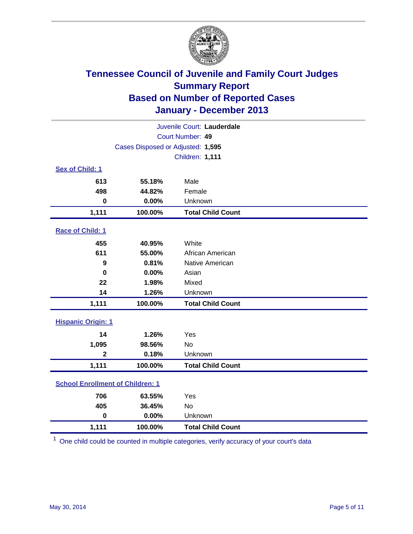

| Juvenile Court: Lauderdale |                                         |                          |  |
|----------------------------|-----------------------------------------|--------------------------|--|
| Court Number: 49           |                                         |                          |  |
|                            | Cases Disposed or Adjusted: 1,595       |                          |  |
|                            |                                         | Children: 1,111          |  |
| Sex of Child: 1            |                                         |                          |  |
| 613                        | 55.18%                                  | Male                     |  |
| 498                        | 44.82%                                  | Female                   |  |
| $\bf{0}$                   | 0.00%                                   | Unknown                  |  |
| 1,111                      | 100.00%                                 | <b>Total Child Count</b> |  |
| Race of Child: 1           |                                         |                          |  |
| 455                        | 40.95%                                  | White                    |  |
| 611                        | 55.00%                                  | African American         |  |
| 9                          | 0.81%                                   | Native American          |  |
| 0                          | 0.00%                                   | Asian                    |  |
| 22                         | 1.98%                                   | Mixed                    |  |
| 14                         | 1.26%                                   | Unknown                  |  |
| 1,111                      | 100.00%                                 | <b>Total Child Count</b> |  |
| <b>Hispanic Origin: 1</b>  |                                         |                          |  |
| 14                         | 1.26%                                   | Yes                      |  |
| 1,095                      | 98.56%                                  | No                       |  |
| $\overline{2}$             | 0.18%                                   | Unknown                  |  |
| 1,111                      | 100.00%                                 | <b>Total Child Count</b> |  |
|                            | <b>School Enrollment of Children: 1</b> |                          |  |
| 706                        | 63.55%                                  | Yes                      |  |
| 405                        | 36.45%                                  | <b>No</b>                |  |
| $\mathbf 0$                | 0.00%                                   | Unknown                  |  |
| 1,111                      | 100.00%                                 | <b>Total Child Count</b> |  |

 $1$  One child could be counted in multiple categories, verify accuracy of your court's data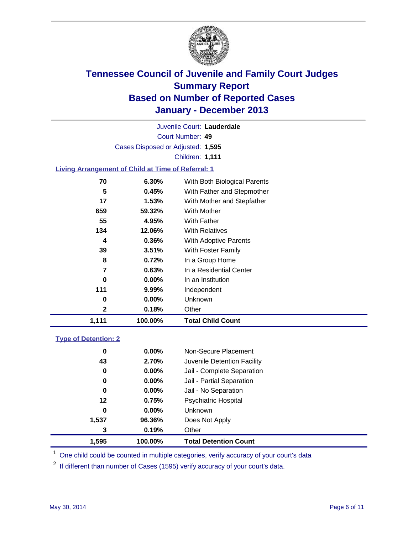

Court Number: **49** Juvenile Court: **Lauderdale** Cases Disposed or Adjusted: **1,595** Children: **1,111**

### **Living Arrangement of Child at Time of Referral: 1**

| 0<br>2 | $0.00\%$<br>0.18% | <b>Unknown</b><br>Other      |
|--------|-------------------|------------------------------|
|        |                   |                              |
|        |                   |                              |
| 111    | 9.99%             | Independent                  |
| 0      | 0.00%             | In an Institution            |
| 7      | 0.63%             | In a Residential Center      |
| 8      | 0.72%             | In a Group Home              |
| 39     | 3.51%             | With Foster Family           |
| 4      | 0.36%             | With Adoptive Parents        |
| 134    | 12.06%            | <b>With Relatives</b>        |
| 55     | 4.95%             | With Father                  |
| 659    | 59.32%            | With Mother                  |
| 17     | 1.53%             | With Mother and Stepfather   |
| 5      | 0.45%             | With Father and Stepmother   |
| 70     | 6.30%             | With Both Biological Parents |
|        |                   |                              |

#### **Type of Detention: 2**

| 1,595 | 100.00%  | <b>Total Detention Count</b> |  |
|-------|----------|------------------------------|--|
| 3     | 0.19%    | Other                        |  |
| 1,537 | 96.36%   | Does Not Apply               |  |
| 0     | $0.00\%$ | <b>Unknown</b>               |  |
| 12    | 0.75%    | <b>Psychiatric Hospital</b>  |  |
| 0     | 0.00%    | Jail - No Separation         |  |
| 0     | $0.00\%$ | Jail - Partial Separation    |  |
| 0     | 0.00%    | Jail - Complete Separation   |  |
| 43    | 2.70%    | Juvenile Detention Facility  |  |
| 0     | 0.00%    | Non-Secure Placement         |  |
|       |          |                              |  |

<sup>1</sup> One child could be counted in multiple categories, verify accuracy of your court's data

<sup>2</sup> If different than number of Cases (1595) verify accuracy of your court's data.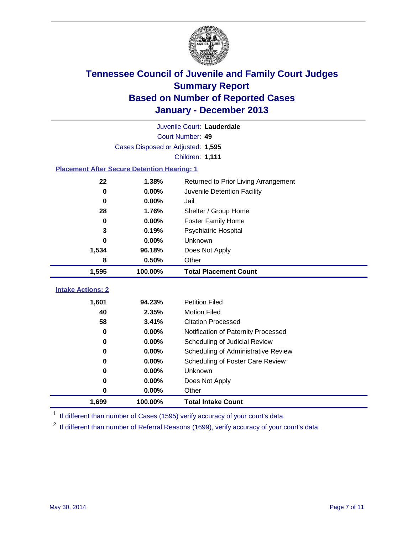

|                                                    | Juvenile Court: Lauderdale        |                                      |  |  |  |
|----------------------------------------------------|-----------------------------------|--------------------------------------|--|--|--|
| Court Number: 49                                   |                                   |                                      |  |  |  |
|                                                    | Cases Disposed or Adjusted: 1,595 |                                      |  |  |  |
|                                                    |                                   | <b>Children: 1,111</b>               |  |  |  |
| <b>Placement After Secure Detention Hearing: 1</b> |                                   |                                      |  |  |  |
| 22                                                 | 1.38%                             | Returned to Prior Living Arrangement |  |  |  |
| 0                                                  | 0.00%                             | Juvenile Detention Facility          |  |  |  |
| $\bf{0}$                                           | 0.00%                             | Jail                                 |  |  |  |
| 28                                                 | 1.76%                             | Shelter / Group Home                 |  |  |  |
| 0                                                  | 0.00%                             | <b>Foster Family Home</b>            |  |  |  |
| 3                                                  | 0.19%                             | Psychiatric Hospital                 |  |  |  |
| 0                                                  | 0.00%                             | <b>Unknown</b>                       |  |  |  |
| 1,534                                              | 96.18%                            | Does Not Apply                       |  |  |  |
| 8                                                  | 0.50%                             | Other                                |  |  |  |
| 1,595                                              | 100.00%                           | <b>Total Placement Count</b>         |  |  |  |
| <b>Intake Actions: 2</b>                           |                                   |                                      |  |  |  |
| 1,601                                              | 94.23%                            | <b>Petition Filed</b>                |  |  |  |
| 40                                                 | 2.35%                             | <b>Motion Filed</b>                  |  |  |  |
| 58                                                 | 3.41%                             | <b>Citation Processed</b>            |  |  |  |
| 0                                                  | 0.00%                             | Notification of Paternity Processed  |  |  |  |
| 0                                                  | 0.00%                             | Scheduling of Judicial Review        |  |  |  |
| 0                                                  | 0.00%                             | Scheduling of Administrative Review  |  |  |  |
| $\bf{0}$                                           | 0.00%                             | Scheduling of Foster Care Review     |  |  |  |
| 0                                                  | 0.00%                             | Unknown                              |  |  |  |
|                                                    |                                   |                                      |  |  |  |
| 0                                                  | 0.00%                             | Does Not Apply                       |  |  |  |
| 0                                                  | 0.00%                             | Other                                |  |  |  |

<sup>1</sup> If different than number of Cases (1595) verify accuracy of your court's data.

<sup>2</sup> If different than number of Referral Reasons (1699), verify accuracy of your court's data.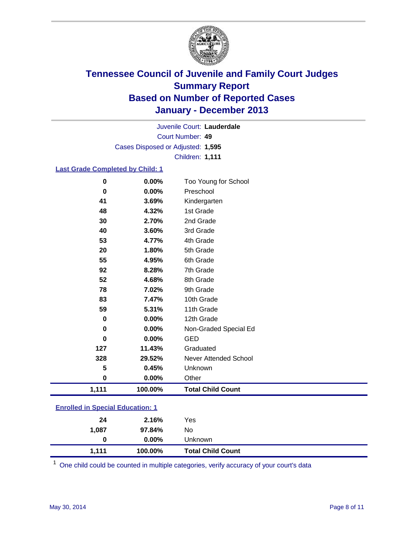

Court Number: **49** Juvenile Court: **Lauderdale** Cases Disposed or Adjusted: **1,595** Children: **1,111**

#### **Last Grade Completed by Child: 1**

| 0        | 0.00%   | Too Young for School     |
|----------|---------|--------------------------|
| 0        | 0.00%   | Preschool                |
| 41       | 3.69%   | Kindergarten             |
| 48       | 4.32%   | 1st Grade                |
| 30       | 2.70%   | 2nd Grade                |
| 40       | 3.60%   | 3rd Grade                |
| 53       | 4.77%   | 4th Grade                |
| 20       | 1.80%   | 5th Grade                |
| 55       | 4.95%   | 6th Grade                |
| 92       | 8.28%   | 7th Grade                |
| 52       | 4.68%   | 8th Grade                |
| 78       | 7.02%   | 9th Grade                |
| 83       | 7.47%   | 10th Grade               |
| 59       | 5.31%   | 11th Grade               |
| 0        | 0.00%   | 12th Grade               |
| $\bf{0}$ | 0.00%   | Non-Graded Special Ed    |
| $\bf{0}$ | 0.00%   | <b>GED</b>               |
| 127      | 11.43%  | Graduated                |
| 328      | 29.52%  | Never Attended School    |
| 5        | 0.45%   | Unknown                  |
| 0        | 0.00%   | Other                    |
| 1,111    | 100.00% | <b>Total Child Count</b> |
|          |         |                          |

### **Enrolled in Special Education: 1**

| 1.111 | 100.00%  | <b>Total Child Count</b> |
|-------|----------|--------------------------|
| 0     | $0.00\%$ | Unknown                  |
| 1,087 | 97.84%   | No                       |
| 24    | 2.16%    | Yes                      |
|       |          |                          |

One child could be counted in multiple categories, verify accuracy of your court's data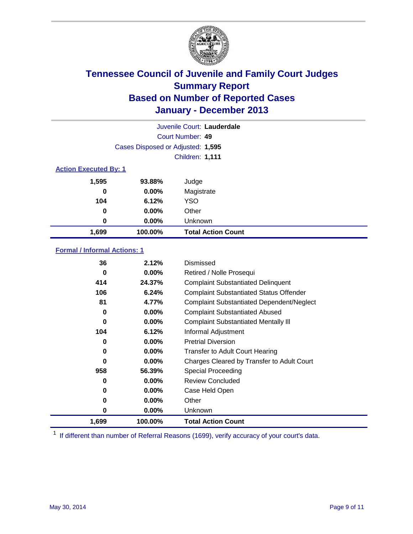

| Juvenile Court: Lauderdale   |                                   |                           |  |  |
|------------------------------|-----------------------------------|---------------------------|--|--|
|                              | Court Number: 49                  |                           |  |  |
|                              | Cases Disposed or Adjusted: 1,595 |                           |  |  |
|                              | <b>Children: 1,111</b>            |                           |  |  |
| <b>Action Executed By: 1</b> |                                   |                           |  |  |
| 1,595                        | 93.88%                            | Judge                     |  |  |
| 0                            | $0.00\%$                          | Magistrate                |  |  |
| 104                          | 6.12%                             | <b>YSO</b>                |  |  |
| 0                            | $0.00\%$                          | Other                     |  |  |
| 0                            | $0.00\%$                          | Unknown                   |  |  |
| 1,699                        | 100.00%                           | <b>Total Action Count</b> |  |  |

### **Formal / Informal Actions: 1**

| 36       | 2.12%    | Dismissed                                        |
|----------|----------|--------------------------------------------------|
| 0        | $0.00\%$ | Retired / Nolle Prosequi                         |
| 414      | 24.37%   | <b>Complaint Substantiated Delinquent</b>        |
| 106      | 6.24%    | <b>Complaint Substantiated Status Offender</b>   |
| 81       | 4.77%    | <b>Complaint Substantiated Dependent/Neglect</b> |
| 0        | 0.00%    | <b>Complaint Substantiated Abused</b>            |
| $\bf{0}$ | $0.00\%$ | <b>Complaint Substantiated Mentally III</b>      |
| 104      | 6.12%    | Informal Adjustment                              |
| 0        | $0.00\%$ | <b>Pretrial Diversion</b>                        |
| 0        | $0.00\%$ | <b>Transfer to Adult Court Hearing</b>           |
| 0        | $0.00\%$ | Charges Cleared by Transfer to Adult Court       |
| 958      | 56.39%   | Special Proceeding                               |
| 0        | $0.00\%$ | <b>Review Concluded</b>                          |
| 0        | $0.00\%$ | Case Held Open                                   |
| 0        | $0.00\%$ | Other                                            |
| 0        | $0.00\%$ | Unknown                                          |
| 1,699    | 100.00%  | <b>Total Action Count</b>                        |

<sup>1</sup> If different than number of Referral Reasons (1699), verify accuracy of your court's data.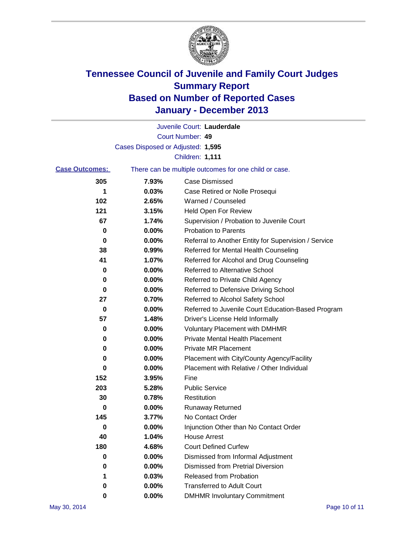

|                       |                                   | Juvenile Court: Lauderdale                            |
|-----------------------|-----------------------------------|-------------------------------------------------------|
|                       |                                   | Court Number: 49                                      |
|                       | Cases Disposed or Adjusted: 1,595 |                                                       |
|                       |                                   | <b>Children: 1,111</b>                                |
| <b>Case Outcomes:</b> |                                   | There can be multiple outcomes for one child or case. |
| 305                   | 7.93%                             | <b>Case Dismissed</b>                                 |
| 1                     | 0.03%                             | Case Retired or Nolle Prosequi                        |
| 102                   | 2.65%                             | Warned / Counseled                                    |
| 121                   | 3.15%                             | Held Open For Review                                  |
| 67                    | 1.74%                             | Supervision / Probation to Juvenile Court             |
| 0                     | 0.00%                             | <b>Probation to Parents</b>                           |
| 0                     | 0.00%                             | Referral to Another Entity for Supervision / Service  |
| 38                    | 0.99%                             | Referred for Mental Health Counseling                 |
| 41                    | 1.07%                             | Referred for Alcohol and Drug Counseling              |
| 0                     | 0.00%                             | <b>Referred to Alternative School</b>                 |
| 0                     | 0.00%                             | Referred to Private Child Agency                      |
| 0                     | 0.00%                             | Referred to Defensive Driving School                  |
| 27                    | 0.70%                             | Referred to Alcohol Safety School                     |
| 0                     | 0.00%                             | Referred to Juvenile Court Education-Based Program    |
| 57                    | 1.48%                             | Driver's License Held Informally                      |
| 0                     | 0.00%                             | <b>Voluntary Placement with DMHMR</b>                 |
| 0                     | 0.00%                             | <b>Private Mental Health Placement</b>                |
| 0                     | 0.00%                             | <b>Private MR Placement</b>                           |
| 0                     | 0.00%                             | Placement with City/County Agency/Facility            |
| 0                     | 0.00%                             | Placement with Relative / Other Individual            |
| 152                   | 3.95%                             | Fine                                                  |
| 203                   | 5.28%                             | <b>Public Service</b>                                 |
| 30                    | 0.78%                             | Restitution                                           |
| 0                     | 0.00%                             | <b>Runaway Returned</b>                               |
| 145                   | 3.77%                             | No Contact Order                                      |
| o                     | 0.00%                             | Injunction Other than No Contact Order                |
| 40                    | 1.04%                             | <b>House Arrest</b>                                   |
| 180                   | 4.68%                             | <b>Court Defined Curfew</b>                           |
| 0                     | 0.00%                             | Dismissed from Informal Adjustment                    |
| 0                     | 0.00%                             | <b>Dismissed from Pretrial Diversion</b>              |
| 1                     | 0.03%                             | Released from Probation                               |
| 0                     | $0.00\%$                          | <b>Transferred to Adult Court</b>                     |
| O                     | $0.00\%$                          | <b>DMHMR Involuntary Commitment</b>                   |